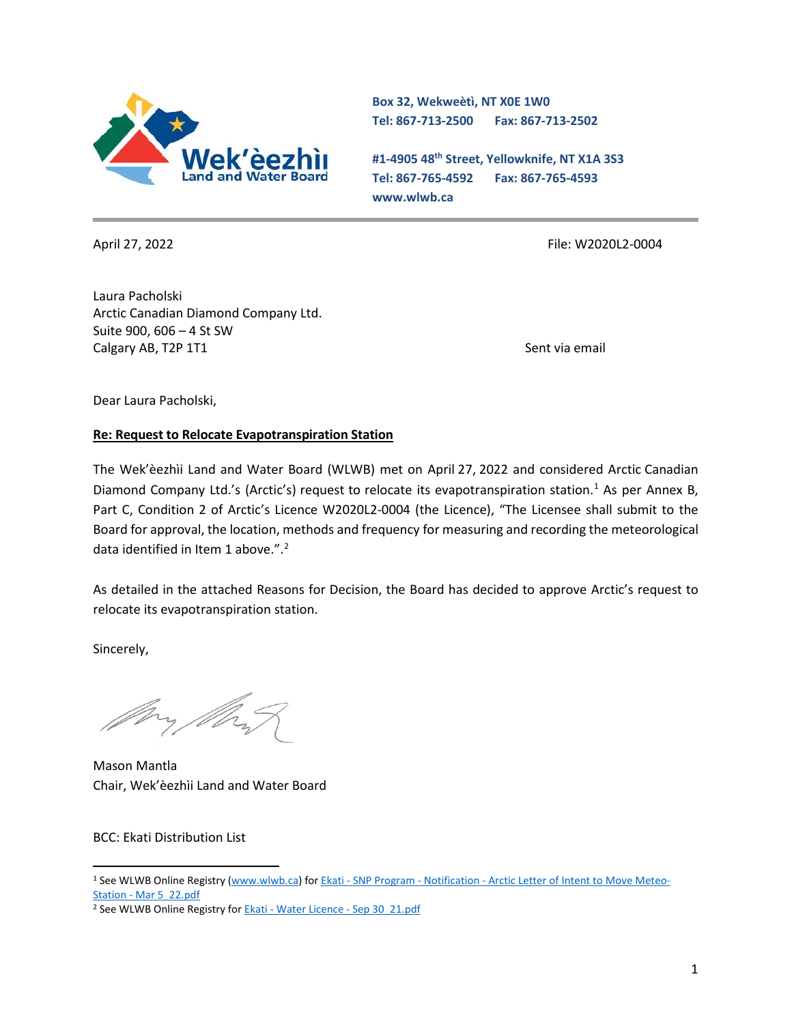

**Box 32, Wekweètì, NT X0E 1W0 Tel: 867-713-2500 Fax: 867-713-2502** 

**#1-4905 48th Street, Yellowknife, NT X1A 3S3 Tel: 867-765-4592 Fax: 867-765-4593 www.wlwb.ca**

April 27, 2022 File: W2020L2-0004

Laura Pacholski Arctic Canadian Diamond Company Ltd. Suite 900, 606 – 4 St SW Calgary AB, T2P 1T1 Sent via email of the sent via email of the sent via email of the sent via email

Dear Laura Pacholski,

#### **Re: Request to Relocate Evapotranspiration Station**

The Wek'èezhìi Land and Water Board (WLWB) met on April 27, 2022 and considered Arctic Canadian Diamond Company Ltd.'s (Arctic's) request to relocate its evapotranspiration station.<sup>[1](#page-0-0)</sup> As per Annex B, Part C, Condition 2 of Arctic's Licence W2020L2-0004 (the Licence), "The Licensee shall submit to the Board for approval, the location, methods and frequency for measuring and recording the meteorological data identified in Item 1 above.". $2$ 

As detailed in the attached Reasons for Decision, the Board has decided to approve Arctic's request to relocate its evapotranspiration station.

Sincerely,

Mason Mantla Chair, Wek'èezhìi Land and Water Board

BCC: Ekati Distribution List

<span id="page-0-0"></span><sup>&</sup>lt;sup>1</sup> See WLWB Online Registry [\(www.wlwb.ca\)](http://www.wlwb.ca/) for **Ekati - SNP Program - Notification - [Arctic Letter of Intent to Move Meteo-](https://registry.mvlwb.ca/Documents/W2020L2-0004/Ekati%20-%20SNP%20Program%20-%20Notification%20-%20Arctic%20Letter%20of%20Intent%20to%20Move%20Meteo-Station%20-%20Mar%205_22.pdf)**Station - [Mar 5\\_22.pdf](https://registry.mvlwb.ca/Documents/W2020L2-0004/Ekati%20-%20SNP%20Program%20-%20Notification%20-%20Arctic%20Letter%20of%20Intent%20to%20Move%20Meteo-Station%20-%20Mar%205_22.pdf)

<span id="page-0-1"></span><sup>2</sup> See WLWB Online Registry for Ekati - [Water Licence -](https://registry.mvlwb.ca/Documents/W2020L2-0004/Ekati%20-%20Water%20Licence%20%20-%20Sep%2030_21.pdf) Sep 30\_21.pdf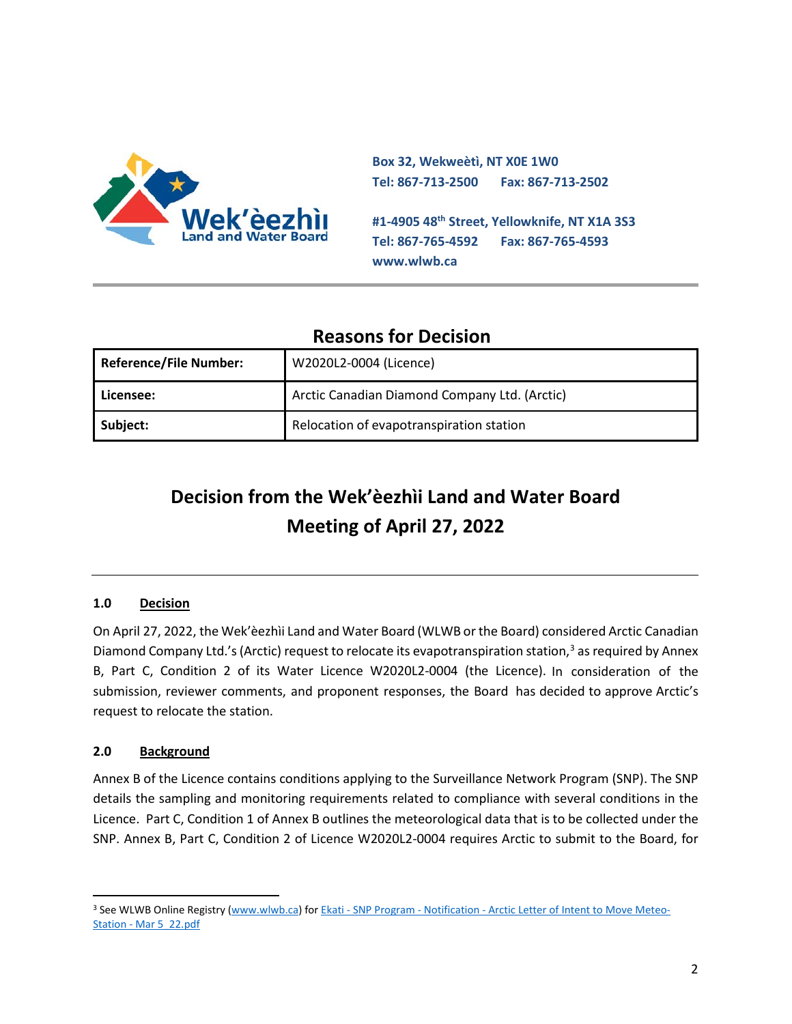

**Box 32, Wekweètì, NT X0E 1W0 Tel: 867-713-2500 Fax: 867-713-2502 #1-4905 48th Street, Yellowknife, NT X1A 3S3 Tel: 867-765-4592 Fax: 867-765-4593 www.wlwb.ca**

## **Reasons for Decision**

| <b>Reference/File Number:</b> | W2020L2-0004 (Licence)                        |
|-------------------------------|-----------------------------------------------|
| l Licensee:                   | Arctic Canadian Diamond Company Ltd. (Arctic) |
| Subject:                      | Relocation of evapotranspiration station      |

# **Decision from the Wek'èezhìi Land and Water Board Meeting of April 27, 2022**

### **1.0 Decision**

On April 27, 2022, the Wek'èezhìi Land and Water Board (WLWB or the Board) considered Arctic Canadian Diamond Company Ltd.'s (Arctic) request to relocate its evapotranspiration station, $3$  as required by Annex B, Part C, Condition 2 of its Water Licence W2020L2-0004 (the Licence). In consideration of the submission, reviewer comments, and proponent responses, the Board has decided to approve Arctic's request to relocate the station.

#### **2.0 Background**

Annex B of the Licence contains conditions applying to the Surveillance Network Program (SNP). The SNP details the sampling and monitoring requirements related to compliance with several conditions in the Licence. Part C, Condition 1 of Annex B outlines the meteorological data that is to be collected under the SNP. Annex B, Part C, Condition 2 of Licence W2020L2-0004 requires Arctic to submit to the Board, for

<span id="page-1-0"></span><sup>&</sup>lt;sup>3</sup> See WLWB Online Registry [\(www.wlwb.ca\)](http://www.wlwb.ca/) for Ekati - SNP Program - Notification - [Arctic Letter of Intent to Move Meteo-](https://registry.mvlwb.ca/Documents/W2020L2-0004/Ekati%20-%20SNP%20Program%20-%20Notification%20-%20Arctic%20Letter%20of%20Intent%20to%20Move%20Meteo-Station%20-%20Mar%205_22.pdf)Station - [Mar 5\\_22.pdf](https://registry.mvlwb.ca/Documents/W2020L2-0004/Ekati%20-%20SNP%20Program%20-%20Notification%20-%20Arctic%20Letter%20of%20Intent%20to%20Move%20Meteo-Station%20-%20Mar%205_22.pdf)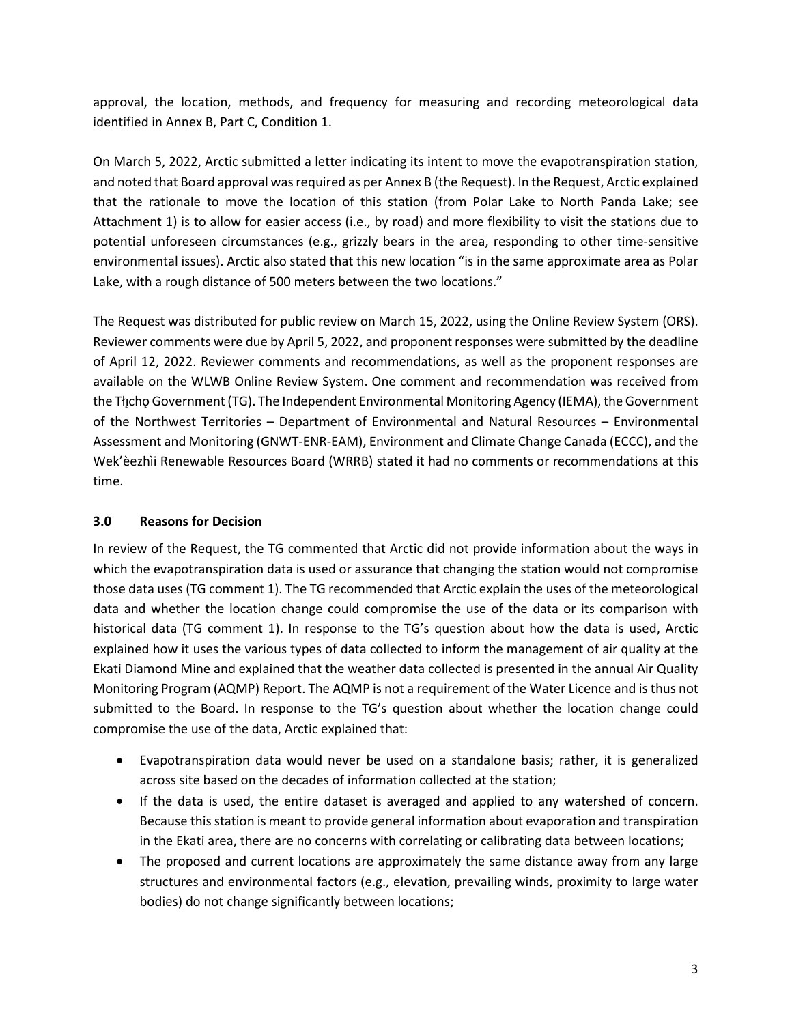approval, the location, methods, and frequency for measuring and recording meteorological data identified in Annex B, Part C, Condition 1.

On March 5, 2022, Arctic submitted a letter indicating its intent to move the evapotranspiration station, and noted that Board approval was required as per Annex B (the Request). In the Request, Arctic explained that the rationale to move the location of this station (from Polar Lake to North Panda Lake; see Attachment 1) is to allow for easier access (i.e., by road) and more flexibility to visit the stations due to potential unforeseen circumstances (e.g., grizzly bears in the area, responding to other time-sensitive environmental issues). Arctic also stated that this new location "is in the same approximate area as Polar Lake, with a rough distance of 500 meters between the two locations."

The Request was distributed for public review on March 15, 2022, using the Online Review System (ORS). Reviewer comments were due by April 5, 2022, and proponent responses were submitted by the deadline of April 12, 2022. Reviewer comments and recommendations, as well as the proponent responses are available on the WLWB Online Review System. One comment and recommendation was received from the Tłįcho Government (TG). The Independent Environmental Monitoring Agency (IEMA), the Government of the Northwest Territories – Department of Environmental and Natural Resources – Environmental Assessment and Monitoring (GNWT-ENR-EAM), Environment and Climate Change Canada (ECCC), and the Wek'èezhìi Renewable Resources Board (WRRB) stated it had no comments or recommendations at this time.

#### **3.0 Reasons for Decision**

In review of the Request, the TG commented that Arctic did not provide information about the ways in which the evapotranspiration data is used or assurance that changing the station would not compromise those data uses (TG comment 1). The TG recommended that Arctic explain the uses of the meteorological data and whether the location change could compromise the use of the data or its comparison with historical data (TG comment 1). In response to the TG's question about how the data is used, Arctic explained how it uses the various types of data collected to inform the management of air quality at the Ekati Diamond Mine and explained that the weather data collected is presented in the annual Air Quality Monitoring Program (AQMP) Report. The AQMP is not a requirement of the Water Licence and is thus not submitted to the Board. In response to the TG's question about whether the location change could compromise the use of the data, Arctic explained that:

- Evapotranspiration data would never be used on a standalone basis; rather, it is generalized across site based on the decades of information collected at the station;
- If the data is used, the entire dataset is averaged and applied to any watershed of concern. Because this station is meant to provide general information about evaporation and transpiration in the Ekati area, there are no concerns with correlating or calibrating data between locations;
- The proposed and current locations are approximately the same distance away from any large structures and environmental factors (e.g., elevation, prevailing winds, proximity to large water bodies) do not change significantly between locations;